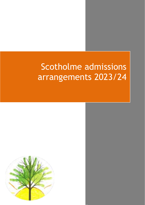# Scotholme admissions arrangements 2023/24

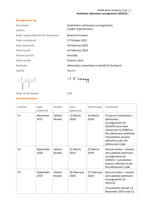# **Management log**

| <b>Document</b>                          | Scotholme's admissions arrangements         |
|------------------------------------------|---------------------------------------------|
| Author                                   | Leader of governance                        |
| <b>Body responsible for the document</b> | Board of trustees                           |
| Date considered                          | 27 October 2021                             |
| Date approved                            | 24 February 2022                            |
| Date issued                              | 24 February 2022                            |
| <b>Review period</b>                     | Annually                                    |
| <b>Next review</b>                       | Autumn 2022                                 |
| <b>Reviewer</b>                          | Admissions committee on behalf of the Board |
| <b>Signed</b>                            | <b>Signed</b>                               |
|                                          |                                             |

**Chair of the Board CEO**

# **Document history**

U O'Leary

| <b>Version</b> | Date<br>authored  | <b>Author</b>           | <b>Date</b><br>approved | Date issued         | <b>Comments</b>                                                                                                                                                                                         |
|----------------|-------------------|-------------------------|-------------------------|---------------------|---------------------------------------------------------------------------------------------------------------------------------------------------------------------------------------------------------|
| V1             | November<br>2017  | Helena<br><b>Brooks</b> | 15 March<br>2018        | 16 March<br>2018    | To secure Scotholme's<br>admissions<br>arrangements for<br>2019/20 since their<br>conversion to SHINE as<br>the admissions authority.<br>Consultation process<br>adhered as per the<br>Admissions Code. |
| V <sub>2</sub> | September<br>2018 | Helena<br><b>Brooks</b> | 21 March<br>2019        | 22 March<br>2019    | Annual review - revised<br>and updated admission<br>arrangements for<br>2020/21. Consultation<br>process adhered as per<br>the Admissions Code.                                                         |
| V <sub>3</sub> | September<br>2019 | Helena<br><b>Brooks</b> | 26 February<br>2020     | 27 February<br>2020 | Annual review - revised<br>and updated admission<br>arrangements for<br>2021/22.<br>Consultation period: 25                                                                                             |
|                |                   |                         |                         |                     | November 2019 until 13                                                                                                                                                                                  |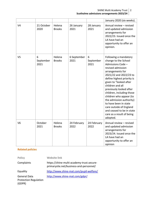SHINE Multi Academy Trust **Scotholme admissions arrangements 2023/24**

2

|                |                        |                         |                     |                        | January 2020 (six weeks).                                                                                                                                                                                                                                                                                                                                                                                                                                  |
|----------------|------------------------|-------------------------|---------------------|------------------------|------------------------------------------------------------------------------------------------------------------------------------------------------------------------------------------------------------------------------------------------------------------------------------------------------------------------------------------------------------------------------------------------------------------------------------------------------------|
| V <sub>4</sub> | 21 October<br>2020     | Helena<br><b>Brooks</b> | 26 January<br>2021  | 28 January<br>2021     | Annual review - revised<br>and updated admission<br>arrangements for<br>2022/23. Issued once the<br>LA have had an<br>opportunity to offer an<br>opinion.                                                                                                                                                                                                                                                                                                  |
| V <sub>5</sub> | 6<br>September<br>2021 | Helena<br><b>Brooks</b> | 6 September<br>2021 | 6<br>September<br>2021 | Following a mandatory<br>change to the School<br>Admissions Code -<br>revised admission<br>arrangements for<br>2021/22 and 2022/23 to<br>define highest priority is<br>given to "looked after<br>children and all<br>previously looked after<br>children, including those<br>children who appear (to<br>the admission authority)<br>to have been in state<br>care outside of England<br>and ceased to be in state<br>care as a result of being<br>adopted. |
| V <sub>6</sub> | October<br>2021        | Helena<br><b>Brooks</b> | 24 February<br>2022 | 24 February<br>2022    | Annual review - revised<br>and updated admission<br>arrangements for<br>2023/24. Issued once the<br>LA have had an<br>opportunity to offer an<br>opinion                                                                                                                                                                                                                                                                                                   |

# **Related policies**

| <b>Policy</b>                                                 | <b>Website link</b>                                                                  |
|---------------------------------------------------------------|--------------------------------------------------------------------------------------|
| Complaints                                                    | https://shine-multi-academy-trust.secure-<br>primarysite.net/business-and-personnel/ |
| Equality                                                      | http://www.shine-mat.com/pupil-welfare/                                              |
| <b>General Data</b><br><b>Protection Regulation</b><br>(GDPR) | http://www.shine-mat.com/gdpr/                                                       |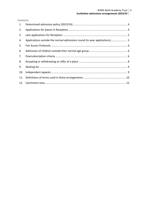#### SHINE Multi Academy Trust **Scotholme admissions arrangements 2023/24** 3

### **Contents**

| 1.  |                                                                          |  |
|-----|--------------------------------------------------------------------------|--|
| 2.  |                                                                          |  |
| 3.  |                                                                          |  |
| 4.  | Applications outside the normal admissions round (in-year applications)5 |  |
| 5.  |                                                                          |  |
| 6.  |                                                                          |  |
| 7.  |                                                                          |  |
| 8.  |                                                                          |  |
| 9.  |                                                                          |  |
| 10. |                                                                          |  |
| 11. |                                                                          |  |
|     |                                                                          |  |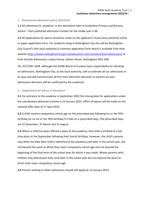<span id="page-4-0"></span>**1. Determined admission policy (2023/24)** 

**1.1** All references to 'academy' in this document refer to Scotholme Primary and Nursery School – their published admission number for the intake year is 60.

**1.2** All applications for places should be made on the applicant's home local authority online or paper application form. For residents living in Nottingham City this will be Nottingham City Council's (the local authority's) common application form which is available from their website<https://www.nottinghamcity.gov.uk/education-and-schools/school-admissions/> or from Schools Admissions, Loxley House, Station Street, Nottingham NG2 3NG

Tel: 0115 841 5568. Although the SHINE Board of trustees have responsibility for deciding on admissions, Nottingham City, as the local authority, will co-ordinate all our admissions in its area and will communicate all first time admission decisions to parents (in-year admissions decisions will be confirmed by the academy).

#### <span id="page-4-1"></span>**2. Applications for places in Reception**

**2.1** For entrance to the academy in September 2023 the closing date for applications under the coordinated admission scheme is 15 January 2023. Offers of places will be made on the national offer date of 17 April 2023.

**2.2** A child reaches compulsory school age on the prescribed day following his or her fifth birthday (or on his or her fifth birthday if it falls on a prescribed day). The prescribed days are 31 December, 31 March and 31 August.

**2.3** Where a child has been offered a place at the academy, that child is entitled to a fulltime place in the September following their fourth birthday. However, the child's parents may defer the date their child is admitted to the academy until later in the school year, but not beyond the point at which they reach compulsory school age and not beyond the beginning of the final term of the school year for which it was made. Where parents wish, children may attend part-time until later in the school year but not beyond the point at which they reach compulsory school age.

**2.4** Parents wishing to defer admissions should still apply by 15 January 2023.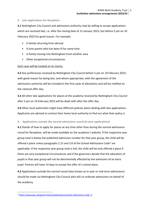### <span id="page-5-0"></span>**3. Late applications for Reception**

**3.1** Nottingham City Council and admissions authority may be willing to accept applications which are received late, i.e. after the closing date of 15 January 2023, but before 5 pm on 10 February 2023 for good reason. For example:

- A family returning from abroad
- A lone parent who has been ill for some time
- A family moving into Nottingham from another area
- Other exceptional circumstances

# Each case will be treated on its merits.

**3.2** Any preferences received by Nottingham City Council before 5 pm on 10 February 2023, with good reason for being late, and where appropriate, with the agreement of the admissions authority will be included in the first cycle of allocations and will be notified on the national offer day.

**3.3** All other late applications for places at the academy received by Nottingham City Council after 5 pm on 10 February 2023 will be dealt with after the offer day.

**3.4** Other local authorities might have different policies when dealing with late applications. Applicants are advised to contact their home local authority to find out what their policy is.

# <span id="page-5-1"></span>**4. Applications outside the normal admissions round (in-year applications)**

**4.1** Details of how to apply for places at any time other than during the normal admissions round for Reception, will be made available on the academy's website. If the respective year group total is below the published admission number for that year group, the child will be offered a place unless paragraphs 2.15 and 3.8 of the School Admissions Code<sup>1</sup> are applicable. If the respective year group total is full, the child will be only offered a place if there are very exceptional circumstances and if the governors decide that the education of pupils in that year group will not be detrimentally affected by the admission of an extra pupil. Parents will have 14 days to accept the offer of a school place.

**4.2** Applications outside the normal round (also known as in-year or mid-term admissions) should be made via Nottingham City Council who will co-ordinate admissions on behalf of the academy.

**.** 

<sup>1</sup> <https://www.gov.uk/government/publications/school-admissions-code--2>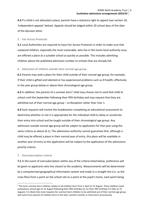**4.3** If a child is not allocated a place, parents have a statutory right to appeal (see section 10, 'Independent appeals' below). Appeals should be lodged within 20 school days of the date of the decision letter.

### <span id="page-6-0"></span>**5. Fair Access Protocols**

**5.1** Local Authorities are required to have Fair Access Protocols in order to make sure that unplaced children, especially the most vulnerable, who live in the home local authority area, are offered a place at a suitable school as quickly as possible. This includes admitting children above the published admission number to schools that are already full.

# <span id="page-6-1"></span>**6. Admission of children outside their normal age group**

**6.1** Parents may seek a place for their child outside of their normal age group, for example, if their child is gifted and talented or has experienced problems such as ill health, effectively in the year group below or above their chronological age group.

6.2 In addition, the parents of a summer born<sup>2</sup> child may choose not to send that child to school until the September following their fifth birthday and may request that they are admitted out of their normal age group – to Reception rather than Year 1.

**6.3** Such requests will involve the headteacher completing an educational assessment to determine whether or not it is appropriate for the individual child to delay or accelerate their entry into school and be taught outside of their chronological age group. Any admission outside normal age group will be subject to application for that year using the same criteria as above (6.1). The admissions authority cannot guarantee that, although a child may be offered a place in their normal year of entry, this place will be available in another year of entry as this application will be subject to the application of the admissions priority criteria.

#### <span id="page-6-2"></span>**7. Oversubscription criteria**

**.** 

**7.1** In the event of oversubscription within any of the criteria listed below, preference will be given to applicants who live closest to the academy. Measurements will be determined by a computerised geographical information system and made in a straight line (i.e. as the crow flies) from a point on the school site to a point at the pupil's home, each point being

<sup>&</sup>lt;sup>2</sup> The term summer born children relates to all children born from 1 April to 31 August. These children reach compulsory school age on 31 August following their fifth birthday (or on their fifth birthday if it falls on 31 August). It is likely that most requests for summer born children to be admitted out of their normal age group will come from parents of children born in the later summer months or those born prematurely.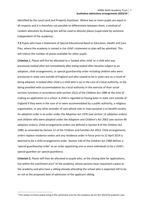identified by the Local Land and Property Gazetteer. Where two or more pupils are equal in all respects and it is therefore not possible to differentiate between them, a method of random allocation by drawing lots will be used to allocate places (supervised by someone independent of the academy).

**7.2** Pupils who have a Statement of Special Educational Need or Education, Health and Care Plan, where the academy is named in the child's statement or plan will be admitted. This will reduce the number of places available for other pupils.

**Criterion 1.** Places will first be allocated to a 'looked after child' or a child who was previously looked after but immediately after being looked after became subject to an adoption, child arrangements, or special guardianship order including children who were previously in state care outside of England and who ceased to be in state care as a result of being adopted. A looked after child is a child who is (a) in the care of a local authority, or (b) being provided with accommodation by a local authority in the exercise of their social services functions in accordance with section 22(1) of the Children Act 1989 at the time of making an application to a school. A child is regarded as having been in state care outside of England if they were in the care of or were accommodated by a public authority, a religious organisation, or any other provider of care whose sole or main purpose is to benefit society. An adoption order is an order under the Adoption Act 1976 (see section 12 adoption orders) and children who were adopted under the Adoption and Children's Act 2002 (see section 46 adoption orders). Child arrangements orders are defined in Section 8 of the Children Act 1989, as amended by Section 12 of the Children and Families Act 2014. Child arrangements orders replace residence orders and any residence order in force prior to 22 April 2014 is deemed to be a child arrangements order. Section 14A of the Children Act 1989 defines a 'special guardianship order' as an order appointing one or more individuals to be a child's special guardian (or special guardians).

**Criterion 2.** Places will then be allocated to pupils who, at the closing date for applications, live within the catchment area<sup>3</sup> of the academy, whose parents have requested a place at the academy and who have a sibling already attending the school who is expected still to be on roll at the proposed date of admission of the applicant sibling.

**.** 

<sup>&</sup>lt;sup>3</sup> This relates to those pupils living in the catchment area for the academy set for the 2023/24 academic year.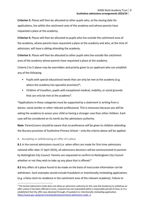**Criterion 3.** Places will then be allocated to other pupils who, at the closing date for applications, live within the catchment area of the academy and whose parents have requested a place at the academy.

**Criterion 4.** Places will then be allocated to pupils who live outside the catchment area of the academy, whose parents have requested a place at the academy and who, at the time of admission, will have a sibling attending the academy.

**Criterion 5.** Places will then be allocated to other pupils who live outside the catchment area of the academy whose parents have requested a place at the academy.

Criteria 2 to 5 above may be overridden and priority given to an applicant who can establish any of the following:

- Pupils with special educational needs that can only be met at the academy (e.g. where the academy has specialist provision)\*;
- Children of travellers, pupils with exceptional medical, mobility, or social grounds that can only be met at the academy\*.

\*Applications in these categories must be supported by a statement in writing from a doctor, social worker or other relevant professional. This is necessary because you will be asking the academy to assess your child as having a stronger case than other children. Each case will be considered on its merits by the admissions authority.

**Note**: Parent/carers should be aware that no preference will be given to children attending the Nursery provision of Scotholme Primary School – only the criteria above will be applied.

<span id="page-8-0"></span>**8. Accepting or withdrawing an offer of a place** 

**.** 

**8.1** In the normal admissions round (i.e. when offers are made for first-time admissions national offer date 17 April 2023), all admissions decisions will be communicated to parents by Nottingham City Council. Parents are requested to confirm to Nottingham City Council whether or not they wish to take up any place that is offered.<sup>4</sup>

**8.2** Any offers of a place found to be made on the basis of inaccurate information can be withdrawn. Such examples would include fraudulent or intentionally misleading applications (e.g. a false claim to residence in the catchment area of the relevant academy). Failure to

<sup>4</sup> The School Admissions Code does not allow an admission authority (in this case the Academy) to withdraw an offer unless it has been offered in error, a parent has not responded within a reasonable period of time, or it is established that the offer was obtained through a fraudulent or intentionally misleading application. <https://www.gov.uk/government/publications/school-admissions-code--2>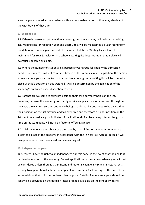accept a place offered at the academy within a reasonable period of time may also lead to the withdrawal of that offer.

#### <span id="page-9-0"></span>**9. Waiting list**

**9.1** If there is oversubscription within any year group the academy will maintain a waiting list. Waiting lists for reception Year and Years 1 to 5 will be maintained all-year round from the date of refusal of a place up until the summer half term. Waiting lists will not be maintained for Year 6. Inclusion in a school's waiting list does not mean that a place will eventually become available.

**9.2** Where the number of students in a particular year group falls below the admission number and where it will not result in a breach of the infant class size legislation, the person whose name appears at the top of that particular year group's waiting list will be offered a place. A child's position on this waiting list will be determined by the application of the academy's published oversubscription criteria.

**9.3** Parents are welcome to ask what position their child currently holds on the list. However, because the academy constantly receives applications for admission throughout the year, the waiting lists are continually being re-ordered. Parents need to be aware that their position on the list may rise and fall over time and therefore a higher position on the list is not necessarily a good indicator of the likelihood of a place being offered. Length of time on the waiting list will not be a factor in offering a place.

**9.4** Children who are the subject of a direction by a Local Authority to admit or who are allocated a place at the academy in accordance with the In-Year Fair Access Protocol<sup>5</sup>, will take precedence over those children on a waiting list.

#### <span id="page-9-1"></span>**10. Independent appeals**

**.** 

**10.1** Parents have the right to an independent appeals panel in the event that their child is declined admission to the academy. Repeat applications in the same academic year will not be considered unless there is a significant and material change in circumstances. Parents wishing to appeal should submit their appeal form within 20 school days of the date of the letter advising that child has not been given a place. Details of where an appeal should be sent will be provided on the decision letter or made available on the school's website.

<sup>5</sup> published on our website http://www.shine-mat.com/admissions/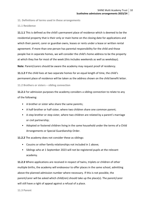<span id="page-10-0"></span>**11. Definitions of terms used in these arrangements**

**11.1 Residence**

**11.1.1** This is defined as the child's permanent place of residence which is deemed to be the residential property that is their only or main home on the closing date for applications and which their parent, carer or guardian owns, leases or rents under a lease or written rental agreement. If more than one person has parental responsibility for the child and those people live in separate homes, we will consider the child's home address to be the property at which they live for most of the week (this includes weekends as well as weekdays).

**Note**: Parent/carers should be aware the academy may request proof of residency.

**11.1.2** If the child lives at two separate homes for an equal length of time, the child's permanent place of residence will be taken as the address shown on the child benefit letter.

**11.2 Brothers or sisters – sibling connection** 

**11.2.1** For admission purposes the academy considers a sibling connection to relate to any of the following:

- A brother or sister who share the same parents;
- A half-brother or half-sister, where two children share one common parent;
- A step brother or step sister, where two children are related by a parent's marriage or civil partnership;
- Adopted or fostered children living in the same household under the terms of a Child Arrangements or Special Guardianship Order.

**11.2.2** The academy does not consider these as siblings:

- Cousins or other family relationships not included in 1 above;
- Siblings who at 1 September 2023 will not be registered pupils at the relevant academy.

**11.2.3** Where applications are received in respect of twins, triplets or children of other multiple births, the academy will endeavour to offer places in the same school, admitting above the planned admission number where necessary. If this is not possible, the parent/carer will be asked which child(ren) should take up the place(s). The parent/carer will still have a right of appeal against a refusal of a place.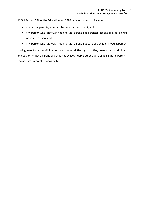**11.3.1** Section 576 of the Education Act 1996 defines 'parent' to include:

- all-natural parents, whether they are married or not; and
- any person who, although not a natural parent, has parental responsibility for a child or young person; and
- any person who, although not a natural parent, has care of a child or a young person.

Having parental responsibility means assuming all the rights, duties, powers, responsibilities and authority that a parent of a child has by law. People other than a child's natural parent can acquire parental responsibility.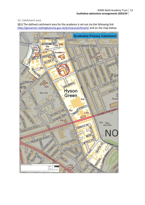# <span id="page-12-0"></span>**12. Catchment area**

**12.1** The defined catchment area for the academy is set out via the following link <http://geoserver.nottinghamcity.gov.uk/primarycatchment/> and on the map below.